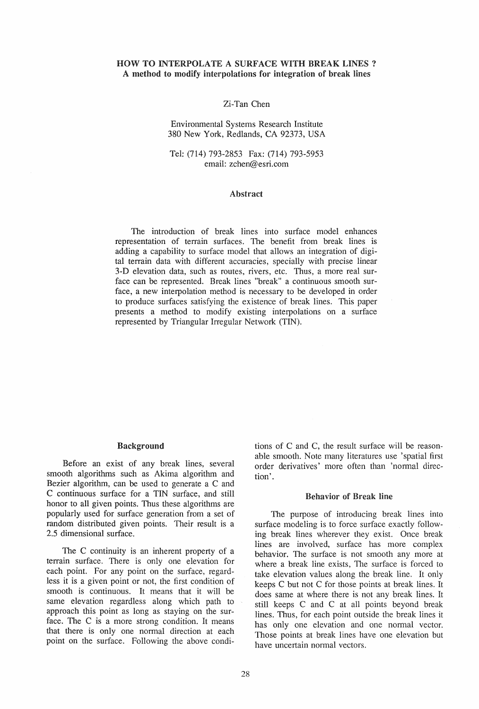## HOW TO INTERPOLATE A SURFACE WITH BREAK LINES? A method to modify interpolations for integration of break lines

### Zi-Tan Chen

#### Environmental Systems Research Institute 380 New York, Redlands, CA 92373, USA

#### Tel: (714) 793-2853 Fax: (714) 793-5953 email: zchen@esri.com

#### Abstract

The introduction of break lines into surface model enhances representation of terrain surfaces. The benefit from break lines is adding a capability to surface model that allows an integration of digital terrain data with different accuracies, specially with precise linear 3-D elevation data, such as routes, rivers, etc. Thus, a more real surface can be represented. Break lines "break" a continuous smooth surface, a new interpolation method is necessary to be developed in order to produce surfaces satisfying the existence of break lines. This paper presents a method to modify existing interpolations on a surface represented by Triangular Irregular Network (TIN).

#### Background

Before an exist of any break lines, several smooth algorithms such as Akima algorithm and Bezier algorithm, can be used to generate a C and C continuous surface for a TIN surface, and still honor to all given points. Thus these algorithms are popularly used for surface generation from a set of random distributed given points. Their result is a 2.5 dimensional surface.

The C continuity is an inherent property of a terrain surface. There is only one elevation for each point. For any point on the surface, regardless it is a given point or not, the first condition of smooth is continuous. It means that it will be same elevation regardless along which path to approach this point as long as staying on the surface. The C is a more strong condition. It means that there is only one normal direction at each point on the surface. Following the above condi-

tions of C and C, the result surface will be reasonable smooth. Note many literatures use 'spatial first order derivatives' more often than 'normal direction'.

#### Behavior of Break line

The purpose of introducing break lines into surface modeling is to force surface exactly following break lines wherever they exist. Once break lines are involved, surface has more complex behavior. The surface is not smooth any more at where a break line exists, The surface is forced to take elevation values along the break line. It only keeps C but not C for those points at break lines. It does same at where there is not any break lines. It still keeps C and C at all points beyond break lines. Thus, for each point outside the break lines it has only one elevation and one normal vector. Those points at break lines have one elevation but have uncertain normal vectors.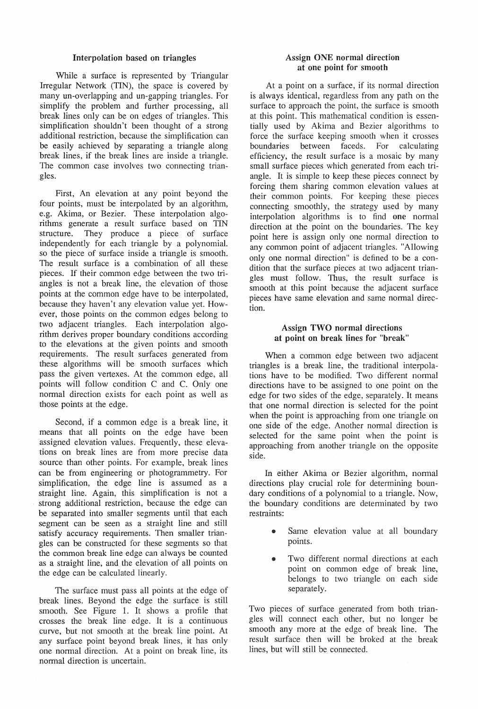## Interpolation based on triangles

While a surface is represented by Triangular Irregular Network (TIN), the space is covered by many un-overlapping and un-gapping triangles. For simplify the problem and further processing, all break lines only can be on edges of triangles. This simplification shouldn't been thought of a strong additional restriction, because the simplification can be easily achieved by separating a triangle along break lines, if the break lines are inside a triangle. The common case involves two connecting triangles.

First, An elevation at any point beyond the four points, must be interpolated by an algorithm, e.g. Akima, or Bezier. These interpolation algorithms generate a result surface based on TIN structure. They produce a piece of surface independently for each triangle by a polynomial. so the piece of surface inside a triangle is smooth. The result surface is a combination of all these pieces. If their common edge between the two triangles is not a break line, the elevation of those points at the common edge have to be interpolated, because they haven't any elevation value yet. However, those points on the common edges belong to two adjacent triangles. Each interpolation algorithm derives proper boundary conditions according to the elevations at the given points and smooth requirements. The result surfaces generated from these algorithms will be smooth surfaces which pass the given vertexes. At the common edge, all points will follow condition C and C. Only one normal direction exists for each point as well as those points at the edge.

Second, if a common edge is a break line, it means that all points on the edge have been assigned elevation values. Frequently, these elevations on break lines are from more precise data source than other points. For example, break lines can be from engineering or photogrammetry. For simplification, the edge line is assumed as a straight line. Again, this simplification is not a strong additional restriction, because the edge can be separated into smaller segments until that each segment can be seen as a straight line and still satisfy accuracy requirements. Then smaller triangles can be constructed for these segments so that the common break line edge can always be counted as a straight line, and the elevation of all points on the edge can be calculated linearly.

The surface must pass all points at the edge of break lines. Beyond the edge the surface is still smooth. See Figure 1. It shows a profile that crosses the break line edge. It is a continuous curve, but not smooth at the break line point. At any surface point beyond break lines, it has only one normal direction. At a point on break line, its normal direction is uncertain.

# Assign ONE normal direction at one point for smooth

At a point on a surface, if its normal direction is always identical, regardless from any path on the surface to approach the point, the surface is smooth at this point. This mathematical condition is essentially used by Akima and Bezier algorithms to force the surface keeping smooth when it crosses boundaries between faceds. For calculating efficiency, the result surface is a mosaic by many small surface pieces which generated from each triangle. It is simple to keep these pieces connect by forcing them sharing common elevation values at their common points. For keeping these pieces connecting smoothly, the strategy used by many interpolation algorithms is to find one normal direction at the point on the boundaries. The key point here is assign only one normal direction to any common point of adjacent triangles. "Allowing only one normal direction" is defined to be a condition that the surface pieces at two adjacent triangles must follow. Thus, the result surface is smooth at this point because the adjacent surface pieces have same elevation and same normal direction.

## Assign TWO normal directions at point on break lines for "break"

When a common edge between two adjacent triangles is a break line, the traditional interpolations have to be modified. Two different normal directions have to be assigned to one point on the edge for two sides of the edge, separately. It means that one normal direction is selected for the point when the point is approaching from one triangle on one side of the edge. Another normal direction is selected for the same point when the point is approaching from another triangle on the opposite side.

In either Akima or Bezier algorithm, normal directions play crucial role for determining boundary conditions of a polynomial to a triangle. Now, the boundary conditions are determinated by two restraints:

- Same elevation value at all boundary points.
- Two different normal directions at each point on common edge of break line, belongs to two triangle on each side separately.

Two pieces of surface generated from both triangles will connect each other, but no longer be smooth any more at the edge of break line. The result surface then will be broked at the break lines, but will still be connected.